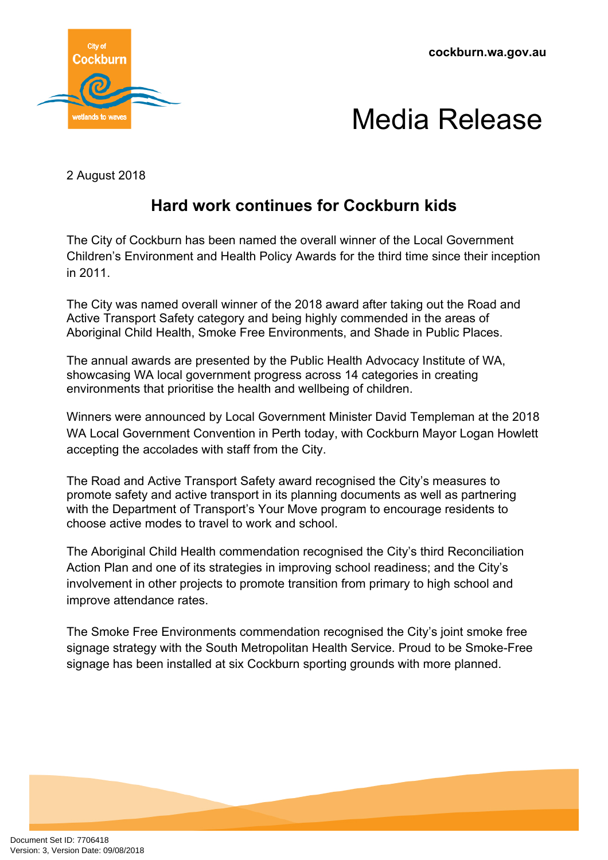**cockburn.wa.gov.au**



## Media Release

2 August 2018

## **Hard work continues for Cockburn kids**

The City of Cockburn has been named the overall winner of the Local Government Children's Environment and Health Policy Awards for the third time since their inception in 2011.

The City was named overall winner of the 2018 award after taking out the Road and Active Transport Safety category and being highly commended in the areas of Aboriginal Child Health, Smoke Free Environments, and Shade in Public Places.

The annual awards are presented by the Public Health Advocacy Institute of WA, showcasing WA local government progress across 14 categories in creating environments that prioritise the health and wellbeing of children.

Winners were announced by Local Government Minister David Templeman at the 2018 WA Local Government Convention in Perth today, with Cockburn Mayor Logan Howlett accepting the accolades with staff from the City.

The Road and Active Transport Safety award recognised the City's measures to promote safety and active transport in its planning documents as well as partnering with the Department of Transport's Your Move program to encourage residents to choose active modes to travel to work and school.

The Aboriginal Child Health commendation recognised the City's third Reconciliation Action Plan and one of its strategies in improving school readiness; and the City's involvement in other projects to promote transition from primary to high school and improve attendance rates.

The Smoke Free Environments commendation recognised the City's joint smoke free signage strategy with the South Metropolitan Health Service. Proud to be Smoke-Free signage has been installed at six Cockburn sporting grounds with more planned.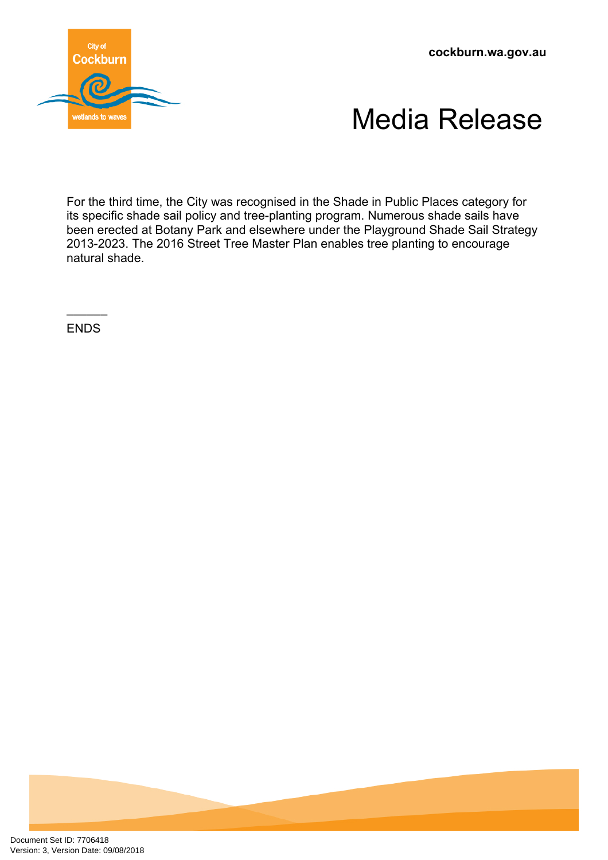**cockburn.wa.gov.au**





For the third time, the City was recognised in the Shade in Public Places category for its specific shade sail policy and tree-planting program. Numerous shade sails have been erected at Botany Park and elsewhere under the Playground Shade Sail Strategy 2013-2023. The 2016 Street Tree Master Plan enables tree planting to encourage natural shade.

–––––– ENDS